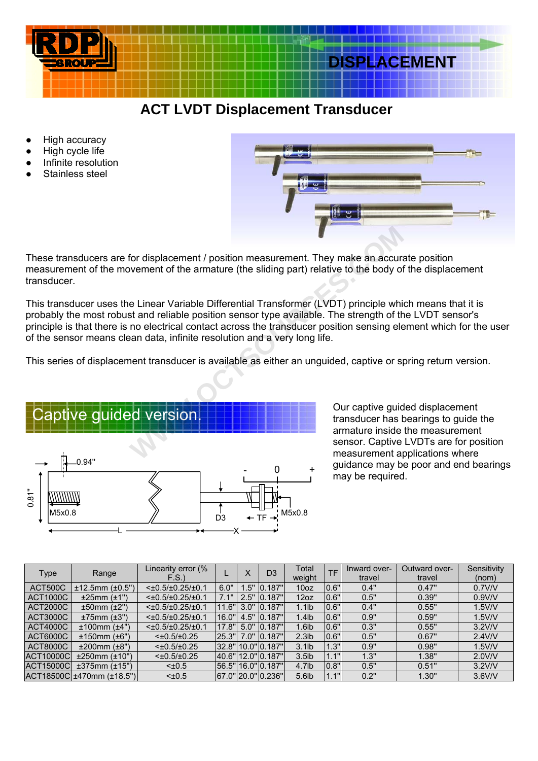

## **ACEMENT**

## **ACT LVDT Displacement Transducer**

- **High accuracy**
- High cycle life
- Infinite resolution
- Stainless steel



These transducers are for displacement / position measurement. They make an accurate position measurement of the movement of the armature (the sliding part) relative to the body of the displacement transducer.

This transducer uses the Linear Variable Differential Transformer (LVDT) principle which means that it is probably the most robust and reliable position sensor type available. The strength of the LVDT sensor's principle is that there is no electrical contact across the transducer position sensing element which for the user of the sensor means clean data, infinite resolution and a very long life.

This series of displacement transducer is available as either an unguided, captive or spring return version.



transducer has bearings to guide the armature inside the measurement sensor. Captive LVDTs are for position measurement applications where guidance may be poor and end bearings may be required.

| Type             | Range                     | Linearity error (%          |       | Χ    | D <sub>3</sub>         | Total             | TF          | Inward over- | Outward over- | Sensitivity |
|------------------|---------------------------|-----------------------------|-------|------|------------------------|-------------------|-------------|--------------|---------------|-------------|
|                  |                           | F.S.                        |       |      |                        | weight            |             | travel       | travel        | (nom)       |
| ACT500C          | $±12.5$ mm ( $±0.5$ ")    | $<\pm 0.5/\pm 0.25/\pm 0.1$ | 6.0"  | .5"  | 0.187"                 | 10 <sub>oz</sub>  | 0.6"        | 0.4"         | 0.47"         | 0.7V/V      |
| <b>ACT1000C</b>  | ±25mm (±1")               | $<\pm 0.5/\pm 0.25/\pm 0.1$ | 7.1"  | 2.5" | .187"<br>10.           | 12oz              | 0.6"        | 0.5"         | 0.39"         | 0.9V/V      |
| <b>ACT2000C</b>  | $±50$ mm $(±2")$          | $<\pm 0.5/\pm 0.25/\pm 0.1$ | 11.6" | 3.0" | 0.187"                 | $1.1$ lb          | 0.6"        | 0.4"         | 0.55"         | $1.5$ V/V   |
| ACT3000C         | $±75mm$ ( $±3"$ )         | $<\pm 0.5/\pm 0.25/\pm 0.1$ | 16.0" | 4.5" | 0.187"                 | $1.4$ lb          | 0.6"        | 0.9"         | 0.59"         | $1.5$ V/V   |
| <b>ACT4000C</b>  | $±100$ mm ( $±4"$ )       | $<\pm 0.5/\pm 0.25/\pm 0.1$ | 17.8" | 5.0" | 0.187"                 | $1.6$ lb          | 0.6"        | 0.3"         | 0.55"         | $3.2$ V/V   |
| ACT6000C         | $±150$ mm ( $±6"$ )       | $<\pm 0.5/\pm 0.25$         | 25.3" | 7.0" | 0.187"                 | 2.3 <sub>lb</sub> | 0.6"        | 0.5"         | 0.67"         | $2.4$ V/V   |
| ACT8000C         | $±200$ mm $(±8")$         | $<\pm 0.5/\pm 0.25$         |       |      | 32.8" 10.0" $ 0.187" $ | $3.1$ lb          | .3"         | 0.9"         | 0.98"         | $1.5$ V/V   |
| <b>ACT10000C</b> | $±250mm$ ( $±10"$ )       | $<\pm 0.5/\pm 0.25$         |       |      | 40.6" 12.0" 0.187"     | $3.5$ lb          | .1"         | 1.3"         | 1.38"         | 2.0V/V      |
| <b>ACT15000C</b> | $±375$ mm $±15"$          | $< \pm 0.5$                 |       |      | 56.5" 16.0" 0.187"     | $4.7$ lb          | 0.8"        | 0.5"         | 0.51"         | $3.2$ V/V   |
|                  | ACT18500Cl±470mm (±18.5") | $< \pm 0.5$                 |       |      | 67.0" 20.0" 0.236"     | 5.6lb             | $\angle$ 1" | 0.2"         | 1.30"         | $3.6$ V/V   |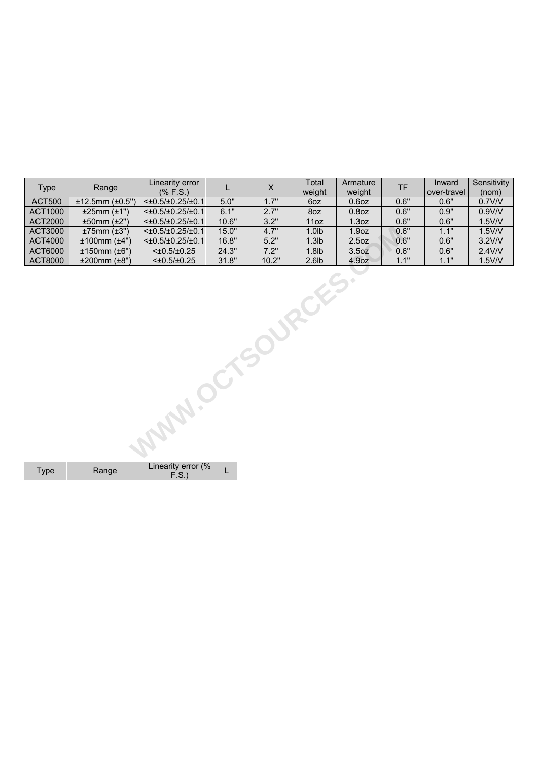| <b>Type</b>      | Range              | Linearity error<br>$(%$ (% F.S.) | L     | $\mathsf X$ | Total<br>weight   | Armature<br>weight | <b>TF</b> | Inward<br>over-travel | Sensitivity<br>(nom) |  |  |
|------------------|--------------------|----------------------------------|-------|-------------|-------------------|--------------------|-----------|-----------------------|----------------------|--|--|
| <b>ACT500</b>    | ±12.5mm (±0.5")    | $<\pm 0.5/\pm 0.25/\pm 0.1$      | 5.0"  | 1.7"        | 6oz               | $0.6$ oz           | 0.6"      | 0.6"                  | 0.7V/V               |  |  |
| <b>ACT1000</b>   | ±25mm (±1")        | $<\pm 0.5/\pm 0.25/\pm 0.1$      | 6.1"  | 2.7"        | 8oz               | $0.8$ oz           | 0.6"      | 0.9"                  | 0.9V/V               |  |  |
| <b>ACT2000</b>   | ±50mm (±2")        | $<\pm 0.5/\pm 0.25/\pm 0.1$      | 10.6" | 3.2"        | 11oz              | 1.3 <sub>oz</sub>  | 0.6"      | 0.6"                  | $1.5$ V/V            |  |  |
| ACT3000          | $±75mm$ ( $±3"$ )  | $<\pm 0.5/\pm 0.25/\pm 0.1$      | 15.0" | 4.7"        | 1.0 <sub>1</sub>  | 1.9 <sub>oz</sub>  | 0.6"      | 1.1"                  | $1.5$ V/V            |  |  |
| <b>ACT4000</b>   | $±100$ mm $(±4")$  | $<\pm 0.5/\pm 0.25/\pm 0.1$      | 16.8" | 5.2"        | 1.3 <sub>lb</sub> | 2.5 <sub>oz</sub>  | 0.6"      | 0.6"                  | $3.2$ V/V            |  |  |
| ACT6000          | ±150mm (±6")       | $<\pm 0.5/\pm 0.25$              | 24.3" | 7.2"        | 1.8 <sub>lb</sub> | 3.5 <sub>oz</sub>  | 0.6"      | 0.6"                  | $2.4$ V/V            |  |  |
| <b>ACT8000</b>   | $±200mm$ ( $±8"$ ) | $<\pm 0.5/\pm 0.25$              | 31.8" | 10.2"       | 2.6 <sub>1</sub>  | 4.9oz              | 1.1"      | 1.1"                  | $1.5$ V/V            |  |  |
| MAN. OCTSOURCES. |                    |                                  |       |             |                   |                    |           |                       |                      |  |  |

Type Range Linearity error (%  $F.S.$ ) L